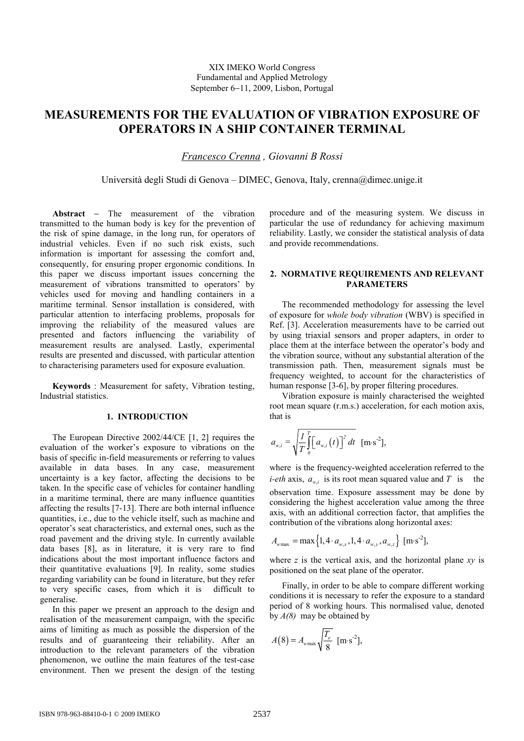# **MEASUREMENTS FOR THE EVALUATION OF VIBRATION EXPOSURE OF OPERATORS IN A SHIP CONTAINER TERMINAL**

*Francesco Crenna , Giovanni B Rossi* 

Università degli Studi di Genova – DIMEC, Genova, Italy, crenna@dimec.unige.it

**Abstract** − The measurement of the vibration transmitted to the human body is key for the prevention of the risk of spine damage, in the long run, for operators of industrial vehicles. Even if no such risk exists, such information is important for assessing the comfort and, consequently, for ensuring proper ergonomic conditions. In this paper we discuss important issues concerning the measurement of vibrations transmitted to operators' by vehicles used for moving and handling containers in a maritime terminal. Sensor installation is considered, with particular attention to interfacing problems, proposals for improving the reliability of the measured values are presented and factors influencing the variability of measurement results are analysed. Lastly, experimental results are presented and discussed, with particular attention to characterising parameters used for exposure evaluation.

**Keywords** : Measurement for safety, Vibration testing, Industrial statistics.

#### **1. INTRODUCTION**

The European Directive 2002/44/CE [1, 2] requires the evaluation of the worker's exposure to vibrations on the basis of specific in-field measurements or referring to values available in data bases. In any case, measurement uncertainty is a key factor, affecting the decisions to be taken. In the specific case of vehicles for container handling in a maritime terminal, there are many influence quantities affecting the results [7-13]. There are both internal influence quantities, i.e., due to the vehicle itself, such as machine and operator's seat characteristics, and external ones, such as the road pavement and the driving style. In currently available data bases [8], as in literature, it is very rare to find indications about the most important influence factors and their quantitative evaluations [9]. In reality, some studies regarding variability can be found in literature, but they refer to very specific cases, from which it is difficult to generalise.

In this paper we present an approach to the design and realisation of the measurement campaign, with the specific aims of limiting as much as possible the dispersion of the results and of guaranteeing their reliability. After an introduction to the relevant parameters of the vibration phenomenon, we outline the main features of the test-case environment. Then we present the design of the testing procedure and of the measuring system. We discuss in particular the use of redundancy for achieving maximum reliability. Lastly, we consider the statistical analysis of data and provide recommendations.

#### **2. NORMATIVE REQUIREMENTS AND RELEVANT PARAMETERS**

The recommended methodology for assessing the level of exposure for *whole body vibration* (WBV) is specified in Ref. [3]. Acceleration measurements have to be carried out by using triaxial sensors and proper adapters, in order to place them at the interface between the operator's body and the vibration source, without any substantial alteration of the transmission path. Then, measurement signals must be frequency weighted, to account for the characteristics of human response [3-6], by proper filtering procedures.

Vibration exposure is mainly characterised the weighted root mean square (r.m.s.) acceleration, for each motion axis, that is

$$
a_{w,i} = \sqrt{\frac{I}{T} \int_{0}^{T} [a_{w,i}(t)]^2 dt \ [m \cdot s^{-2}],
$$

where is the frequency-weighted acceleration referred to the *i-eth* axis,  $a_{w_i}$  is its root mean squared value and T is the observation time. Exposure assessment may be done by considering the highest acceleration value among the three axis, with an additional correction factor, that amplifies the contribution of the vibrations along horizontal axes:

$$
A_{w\max} = \max\left\{1, 4 \cdot a_{w,x}, 1, 4 \cdot a_{w,y}, a_{w,z}\right\} \text{ [m-s}^2\text{]},
$$

where *z* is the vertical axis, and the horizontal plane *xy* is positioned on the seat plane of the operator.

Finally, in order to be able to compare different working conditions it is necessary to refer the exposure to a standard period of 8 working hours. This normalised value, denoted by *A(8)* may be obtained by

$$
A(8) = A_{\text{wmax}} \sqrt{\frac{T_e}{8}} \text{ [m·s-2]},
$$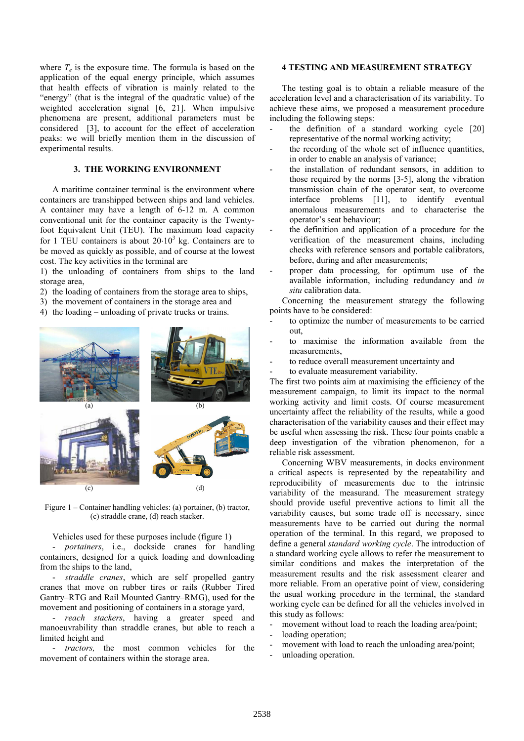where  $T_e$  is the exposure time. The formula is based on the application of the equal energy principle, which assumes that health effects of vibration is mainly related to the "energy" (that is the integral of the quadratic value) of the weighted acceleration signal [6, 21]. When impulsive phenomena are present, additional parameters must be considered [3], to account for the effect of acceleration peaks: we will briefly mention them in the discussion of experimental results.

## **3. THE WORKING ENVIRONMENT**

A maritime container terminal is the environment where containers are transhipped between ships and land vehicles. A container may have a length of 6-12 m. A common conventional unit for the container capacity is the Twentyfoot Equivalent Unit (TEU). The maximum load capacity for 1 TEU containers is about  $20·10<sup>3</sup>$  kg. Containers are to be moved as quickly as possible, and of course at the lowest cost. The key activities in the terminal are

1) the unloading of containers from ships to the land storage area,

- 2) the loading of containers from the storage area to ships,
- 3) the movement of containers in the storage area and
- 4) the loading unloading of private trucks or trains.



Figure 1 – Container handling vehicles: (a) portainer, (b) tractor, (c) straddle crane, (d) reach stacker.

Vehicles used for these purposes include (figure 1)

- *portainers*, i.e., dockside cranes for handling containers, designed for a quick loading and downloading from the ships to the land,

- *straddle cranes*, which are self propelled gantry cranes that move on rubber tires or rails (Rubber Tired Gantry–RTG and Rail Mounted Gantry–RMG), used for the movement and positioning of containers in a storage yard,

- *reach stackers*, having a greater speed and manoeuvrability than straddle cranes, but able to reach a limited height and

- *tractors,* the most common vehicles for the movement of containers within the storage area.

#### **4 TESTING AND MEASUREMENT STRATEGY**

The testing goal is to obtain a reliable measure of the acceleration level and a characterisation of its variability. To achieve these aims, we proposed a measurement procedure including the following steps:

- the definition of a standard working cycle  $[20]$ representative of the normal working activity;
- the recording of the whole set of influence quantities, in order to enable an analysis of variance;
- the installation of redundant sensors, in addition to those required by the norms [3-5], along the vibration transmission chain of the operator seat, to overcome interface problems [11], to identify eventual anomalous measurements and to characterise the operator's seat behaviour;
- the definition and application of a procedure for the verification of the measurement chains, including checks with reference sensors and portable calibrators, before, during and after measurements;
- proper data processing, for optimum use of the available information, including redundancy and *in situ* calibration data.

Concerning the measurement strategy the following points have to be considered:

- to optimize the number of measurements to be carried out,
- to maximise the information available from the measurements,
- to reduce overall measurement uncertainty and
- to evaluate measurement variability.

The first two points aim at maximising the efficiency of the measurement campaign, to limit its impact to the normal working activity and limit costs. Of course measurement uncertainty affect the reliability of the results, while a good characterisation of the variability causes and their effect may be useful when assessing the risk. These four points enable a deep investigation of the vibration phenomenon, for a reliable risk assessment.

Concerning WBV measurements, in docks environment a critical aspects is represented by the repeatability and reproducibility of measurements due to the intrinsic variability of the measurand. The measurement strategy should provide useful preventive actions to limit all the variability causes, but some trade off is necessary, since measurements have to be carried out during the normal operation of the terminal. In this regard, we proposed to define a general *standard working cycle*. The introduction of a standard working cycle allows to refer the measurement to similar conditions and makes the interpretation of the measurement results and the risk assessment clearer and more reliable. From an operative point of view, considering the usual working procedure in the terminal, the standard working cycle can be defined for all the vehicles involved in this study as follows:

- movement without load to reach the loading area/point;
- loading operation;
- movement with load to reach the unloading area/point:
- unloading operation.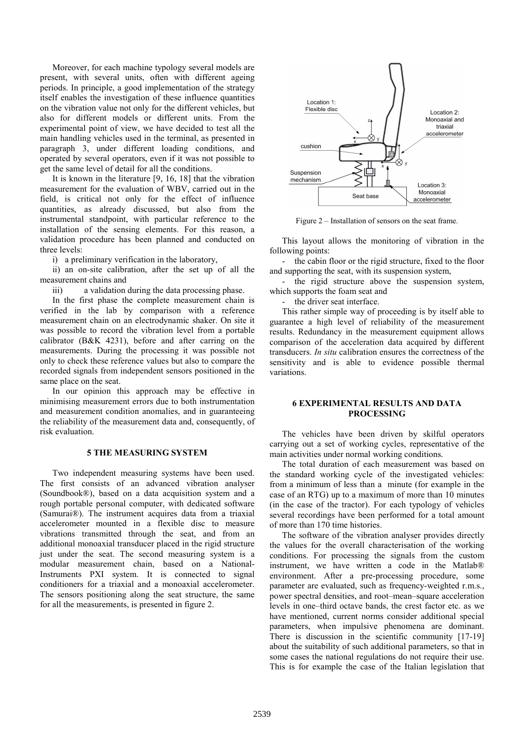Moreover, for each machine typology several models are present, with several units, often with different ageing periods. In principle, a good implementation of the strategy itself enables the investigation of these influence quantities on the vibration value not only for the different vehicles, but also for different models or different units. From the experimental point of view, we have decided to test all the main handling vehicles used in the terminal, as presented in paragraph 3, under different loading conditions, and operated by several operators, even if it was not possible to get the same level of detail for all the conditions.

It is known in the literature [9, 16, 18] that the vibration measurement for the evaluation of WBV, carried out in the field, is critical not only for the effect of influence quantities, as already discussed, but also from the instrumental standpoint, with particular reference to the installation of the sensing elements. For this reason, a validation procedure has been planned and conducted on three levels:

i) a preliminary verification in the laboratory,

ii) an on-site calibration, after the set up of all the measurement chains and

iii) a validation during the data processing phase.

In the first phase the complete measurement chain is verified in the lab by comparison with a reference measurement chain on an electrodynamic shaker. On site it was possible to record the vibration level from a portable calibrator (B&K 4231), before and after carring on the measurements. During the processing it was possible not only to check these reference values but also to compare the recorded signals from independent sensors positioned in the same place on the seat.

In our opinion this approach may be effective in minimising measurement errors due to both instrumentation and measurement condition anomalies, and in guaranteeing the reliability of the measurement data and, consequently, of risk evaluation.

## **5 THE MEASURING SYSTEM**

Two independent measuring systems have been used. The first consists of an advanced vibration analyser (Soundbook®), based on a data acquisition system and a rough portable personal computer, with dedicated software (Samurai®). The instrument acquires data from a triaxial accelerometer mounted in a flexible disc to measure vibrations transmitted through the seat, and from an additional monoaxial transducer placed in the rigid structure just under the seat. The second measuring system is a modular measurement chain, based on a National-Instruments PXI system. It is connected to signal conditioners for a triaxial and a monoaxial accelerometer. The sensors positioning along the seat structure, the same for all the measurements, is presented in figure 2.



Figure 2 – Installation of sensors on the seat frame.

This layout allows the monitoring of vibration in the following points:

- the cabin floor or the rigid structure, fixed to the floor and supporting the seat, with its suspension system,

- the rigid structure above the suspension system, which supports the foam seat and

the driver seat interface.

This rather simple way of proceeding is by itself able to guarantee a high level of reliability of the measurement results. Redundancy in the measurement equipment allows comparison of the acceleration data acquired by different transducers. *In situ* calibration ensures the correctness of the sensitivity and is able to evidence possible thermal variations.

### **6 EXPERIMENTAL RESULTS AND DATA PROCESSING**

The vehicles have been driven by skilful operators carrying out a set of working cycles, representative of the main activities under normal working conditions.

The total duration of each measurement was based on the standard working cycle of the investigated vehicles: from a minimum of less than a minute (for example in the case of an RTG) up to a maximum of more than 10 minutes (in the case of the tractor). For each typology of vehicles several recordings have been performed for a total amount of more than 170 time histories.

The software of the vibration analyser provides directly the values for the overall characterisation of the working conditions. For processing the signals from the custom instrument, we have written a code in the Matlab® environment. After a pre-processing procedure, some parameter are evaluated, such as frequency-weighted r.m.s., power spectral densities, and root–mean–square acceleration levels in one–third octave bands, the crest factor etc. as we have mentioned, current norms consider additional special parameters, when impulsive phenomena are dominant. There is discussion in the scientific community [17-19] about the suitability of such additional parameters, so that in some cases the national regulations do not require their use. This is for example the case of the Italian legislation that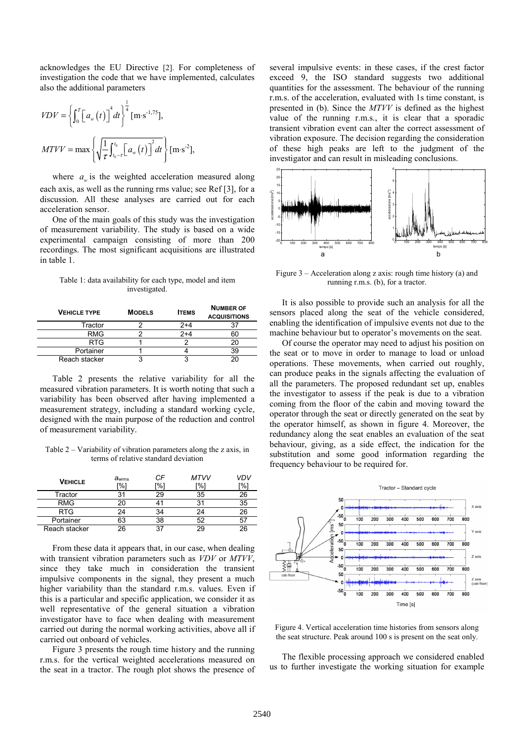acknowledges the EU Directive [2]. For completeness of investigation the code that we have implemented, calculates also the additional parameters

$$
VDV = \left\{ \int_0^T \left[ a_w(t) \right]^4 dt \right\}^{\frac{1}{4}} [m \cdot s^{-1.75}],
$$
  
MTVV = max  $\left\{ \sqrt{\frac{1}{\tau} \int_{t_0 - \tau}^{t_0} \left[ a_w(t) \right]^2 dt} \right\} [m \cdot s^{-2}],$ 

where  $a_{\mu}$  is the weighted acceleration measured along each axis, as well as the running rms value; see Ref [3], for a discussion. All these analyses are carried out for each acceleration sensor.

One of the main goals of this study was the investigation of measurement variability. The study is based on a wide experimental campaign consisting of more than 200 recordings. The most significant acquisitions are illustrated in table 1.

Table 1: data availability for each type, model and item investigated.

| <b>VEHICLE TYPE</b> | <b>MODELS</b> | <b>ITEMS</b> | <b>NUMBER OF</b><br><b>ACQUISITIONS</b> |
|---------------------|---------------|--------------|-----------------------------------------|
| Tractor             |               | $2+4$        |                                         |
| <b>RMG</b>          |               | 2+4          |                                         |
| <b>RTG</b>          |               |              |                                         |
| Portainer           |               |              |                                         |
| Reach stacker       |               |              |                                         |

Table 2 presents the relative variability for all the measured vibration parameters. It is worth noting that such a variability has been observed after having implemented a measurement strategy, including a standard working cycle, designed with the main purpose of the reduction and control of measurement variability.

Table 2 – Variability of vibration parameters along the z axis, in terms of relative standard deviation

| <b>VEHICLE</b> | $a_{\text{wrms}}$<br>"%1 | СF<br>'%1 | MTVV<br>ר%' | /DV<br>r%i |
|----------------|--------------------------|-----------|-------------|------------|
| Tractor        | 31                       | 29        | 35          | 26         |
| <b>RMG</b>     |                          |           |             | 35         |
| <b>RTG</b>     | 24                       | 34        | 24          | 26         |
| Portainer      | 63                       | 38        | 52          | 57         |
| Reach stacker  | 26                       | 37        | 29          | 26         |

From these data it appears that, in our case, when dealing with transient vibration parameters such as *VDV* or *MTVV*, since they take much in consideration the transient impulsive components in the signal, they present a much higher variability than the standard r.m.s. values. Even if this is a particular and specific application, we consider it as well representative of the general situation a vibration investigator have to face when dealing with measurement carried out during the normal working activities, above all if carried out onboard of vehicles.

Figure 3 presents the rough time history and the running r.m.s. for the vertical weighted accelerations measured on the seat in a tractor. The rough plot shows the presence of several impulsive events: in these cases, if the crest factor exceed 9, the ISO standard suggests two additional quantities for the assessment. The behaviour of the running r.m.s. of the acceleration, evaluated with 1s time constant, is presented in (b). Since the *MTVV* is defined as the highest value of the running r.m.s., it is clear that a sporadic transient vibration event can alter the correct assessment of vibration exposure. The decision regarding the consideration of these high peaks are left to the judgment of the investigator and can result in misleading conclusions.



Figure 3 – Acceleration along z axis: rough time history (a) and running r.m.s. (b), for a tractor.

It is also possible to provide such an analysis for all the sensors placed along the seat of the vehicle considered, enabling the identification of impulsive events not due to the machine behaviour but to operator's movements on the seat.

Of course the operator may need to adjust his position on the seat or to move in order to manage to load or unload operations. These movements, when carried out roughly, can produce peaks in the signals affecting the evaluation of all the parameters. The proposed redundant set up, enables the investigator to assess if the peak is due to a vibration coming from the floor of the cabin and moving toward the operator through the seat or directly generated on the seat by the operator himself, as shown in figure 4. Moreover, the redundancy along the seat enables an evaluation of the seat behaviour, giving, as a side effect, the indication for the substitution and some good information regarding the frequency behaviour to be required for.



Figure 4. Vertical acceleration time histories from sensors along the seat structure. Peak around 100 s is present on the seat only.

The flexible processing approach we considered enabled us to further investigate the working situation for example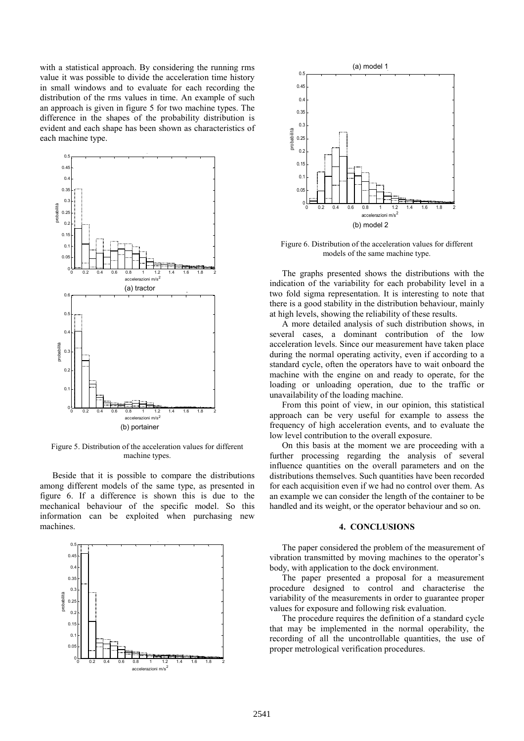with a statistical approach. By considering the running rms value it was possible to divide the acceleration time history in small windows and to evaluate for each recording the distribution of the rms values in time. An example of such an approach is given in figure 5 for two machine types. The difference in the shapes of the probability distribution is evident and each shape has been shown as characteristics of each machine type.



Figure 5. Distribution of the acceleration values for different machine types.

Beside that it is possible to compare the distributions among different models of the same type, as presented in figure 6. If a difference is shown this is due to the mechanical behaviour of the specific model. So this information can be exploited when purchasing new machines.





Figure 6. Distribution of the acceleration values for different models of the same machine type.

The graphs presented shows the distributions with the indication of the variability for each probability level in a two fold sigma representation. It is interesting to note that there is a good stability in the distribution behaviour, mainly at high levels, showing the reliability of these results.

A more detailed analysis of such distribution shows, in several cases, a dominant contribution of the low acceleration levels. Since our measurement have taken place during the normal operating activity, even if according to a standard cycle, often the operators have to wait onboard the machine with the engine on and ready to operate, for the loading or unloading operation, due to the traffic or unavailability of the loading machine.

From this point of view, in our opinion, this statistical approach can be very useful for example to assess the frequency of high acceleration events, and to evaluate the low level contribution to the overall exposure.

On this basis at the moment we are proceeding with a further processing regarding the analysis of several influence quantities on the overall parameters and on the distributions themselves. Such quantities have been recorded for each acquisition even if we had no control over them. As an example we can consider the length of the container to be handled and its weight, or the operator behaviour and so on.

## **4. CONCLUSIONS**

The paper considered the problem of the measurement of vibration transmitted by moving machines to the operator's body, with application to the dock environment.

The paper presented a proposal for a measurement procedure designed to control and characterise the variability of the measurements in order to guarantee proper values for exposure and following risk evaluation.

The procedure requires the definition of a standard cycle that may be implemented in the normal operability, the recording of all the uncontrollable quantities, the use of proper metrological verification procedures.